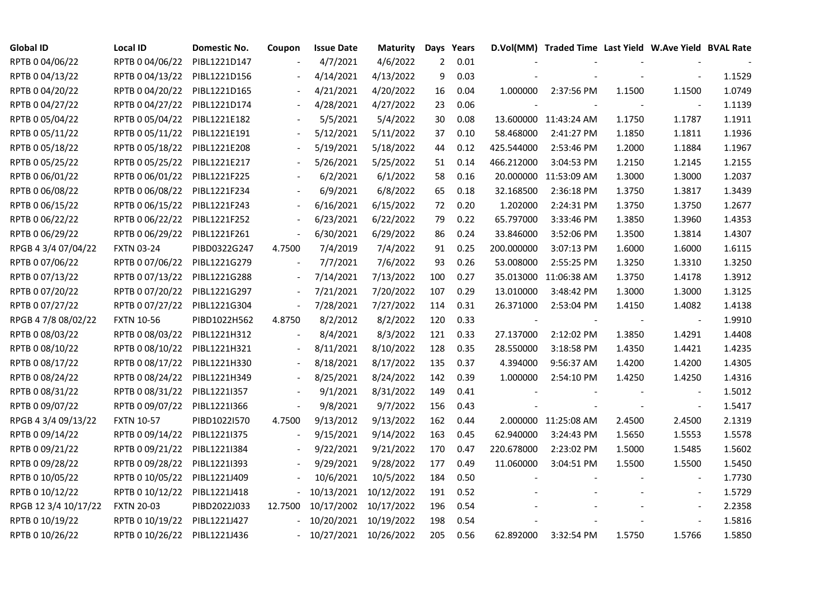| <b>Global ID</b>     | <b>Local ID</b>   | Domestic No. | Coupon                   | <b>Issue Date</b>     | <b>Maturity</b> |                | Days Years |            | D.Vol(MM) Traded Time Last Yield W.Ave Yield BVAL Rate |        |                          |        |
|----------------------|-------------------|--------------|--------------------------|-----------------------|-----------------|----------------|------------|------------|--------------------------------------------------------|--------|--------------------------|--------|
| RPTB 0 04/06/22      | RPTB 0 04/06/22   | PIBL1221D147 |                          | 4/7/2021              | 4/6/2022        | $\overline{2}$ | 0.01       |            |                                                        |        |                          |        |
| RPTB 0 04/13/22      | RPTB 0 04/13/22   | PIBL1221D156 |                          | 4/14/2021             | 4/13/2022       | 9              | 0.03       |            |                                                        |        |                          | 1.1529 |
| RPTB 0 04/20/22      | RPTB 0 04/20/22   | PIBL1221D165 | $\blacksquare$           | 4/21/2021             | 4/20/2022       | 16             | 0.04       | 1.000000   | 2:37:56 PM                                             | 1.1500 | 1.1500                   | 1.0749 |
| RPTB 0 04/27/22      | RPTB 0 04/27/22   | PIBL1221D174 |                          | 4/28/2021             | 4/27/2022       | 23             | 0.06       |            |                                                        |        |                          | 1.1139 |
| RPTB 0 05/04/22      | RPTB 0 05/04/22   | PIBL1221E182 |                          | 5/5/2021              | 5/4/2022        | 30             | 0.08       |            | 13.600000 11:43:24 AM                                  | 1.1750 | 1.1787                   | 1.1911 |
| RPTB 0 05/11/22      | RPTB 0 05/11/22   | PIBL1221E191 |                          | 5/12/2021             | 5/11/2022       | 37             | 0.10       | 58.468000  | 2:41:27 PM                                             | 1.1850 | 1.1811                   | 1.1936 |
| RPTB 0 05/18/22      | RPTB 0 05/18/22   | PIBL1221E208 |                          | 5/19/2021             | 5/18/2022       | 44             | 0.12       | 425.544000 | 2:53:46 PM                                             | 1.2000 | 1.1884                   | 1.1967 |
| RPTB 0 05/25/22      | RPTB 0 05/25/22   | PIBL1221E217 |                          | 5/26/2021             | 5/25/2022       | 51             | 0.14       | 466.212000 | 3:04:53 PM                                             | 1.2150 | 1.2145                   | 1.2155 |
| RPTB 0 06/01/22      | RPTB 0 06/01/22   | PIBL1221F225 |                          | 6/2/2021              | 6/1/2022        | 58             | 0.16       |            | 20.000000 11:53:09 AM                                  | 1.3000 | 1.3000                   | 1.2037 |
| RPTB 0 06/08/22      | RPTB 0 06/08/22   | PIBL1221F234 |                          | 6/9/2021              | 6/8/2022        | 65             | 0.18       | 32.168500  | 2:36:18 PM                                             | 1.3750 | 1.3817                   | 1.3439 |
| RPTB 0 06/15/22      | RPTB 0 06/15/22   | PIBL1221F243 | $\overline{\phantom{a}}$ | 6/16/2021             | 6/15/2022       | 72             | 0.20       | 1.202000   | 2:24:31 PM                                             | 1.3750 | 1.3750                   | 1.2677 |
| RPTB 0 06/22/22      | RPTB 0 06/22/22   | PIBL1221F252 |                          | 6/23/2021             | 6/22/2022       | 79             | 0.22       | 65.797000  | 3:33:46 PM                                             | 1.3850 | 1.3960                   | 1.4353 |
| RPTB 0 06/29/22      | RPTB 0 06/29/22   | PIBL1221F261 | $\blacksquare$           | 6/30/2021             | 6/29/2022       | 86             | 0.24       | 33.846000  | 3:52:06 PM                                             | 1.3500 | 1.3814                   | 1.4307 |
| RPGB 4 3/4 07/04/22  | <b>FXTN 03-24</b> | PIBD0322G247 | 4.7500                   | 7/4/2019              | 7/4/2022        | 91             | 0.25       | 200.000000 | 3:07:13 PM                                             | 1.6000 | 1.6000                   | 1.6115 |
| RPTB 0 07/06/22      | RPTB 0 07/06/22   | PIBL1221G279 |                          | 7/7/2021              | 7/6/2022        | 93             | 0.26       | 53.008000  | 2:55:25 PM                                             | 1.3250 | 1.3310                   | 1.3250 |
| RPTB 0 07/13/22      | RPTB 0 07/13/22   | PIBL1221G288 |                          | 7/14/2021             | 7/13/2022       | 100            | 0.27       |            | 35.013000 11:06:38 AM                                  | 1.3750 | 1.4178                   | 1.3912 |
| RPTB 0 07/20/22      | RPTB 0 07/20/22   | PIBL1221G297 | $\overline{\phantom{a}}$ | 7/21/2021             | 7/20/2022       | 107            | 0.29       | 13.010000  | 3:48:42 PM                                             | 1.3000 | 1.3000                   | 1.3125 |
| RPTB 0 07/27/22      | RPTB 0 07/27/22   | PIBL1221G304 | $\blacksquare$           | 7/28/2021             | 7/27/2022       | 114            | 0.31       | 26.371000  | 2:53:04 PM                                             | 1.4150 | 1.4082                   | 1.4138 |
| RPGB 4 7/8 08/02/22  | <b>FXTN 10-56</b> | PIBD1022H562 | 4.8750                   | 8/2/2012              | 8/2/2022        | 120            | 0.33       |            |                                                        |        | $\overline{\phantom{a}}$ | 1.9910 |
| RPTB 0 08/03/22      | RPTB 0 08/03/22   | PIBL1221H312 |                          | 8/4/2021              | 8/3/2022        | 121            | 0.33       | 27.137000  | 2:12:02 PM                                             | 1.3850 | 1.4291                   | 1.4408 |
| RPTB 0 08/10/22      | RPTB 0 08/10/22   | PIBL1221H321 | $\overline{\phantom{a}}$ | 8/11/2021             | 8/10/2022       | 128            | 0.35       | 28.550000  | 3:18:58 PM                                             | 1.4350 | 1.4421                   | 1.4235 |
| RPTB 0 08/17/22      | RPTB 0 08/17/22   | PIBL1221H330 |                          | 8/18/2021             | 8/17/2022       | 135            | 0.37       | 4.394000   | 9:56:37 AM                                             | 1.4200 | 1.4200                   | 1.4305 |
| RPTB 0 08/24/22      | RPTB 0 08/24/22   | PIBL1221H349 |                          | 8/25/2021             | 8/24/2022       | 142            | 0.39       | 1.000000   | 2:54:10 PM                                             | 1.4250 | 1.4250                   | 1.4316 |
| RPTB 0 08/31/22      | RPTB 0 08/31/22   | PIBL1221I357 | $\overline{\phantom{a}}$ | 9/1/2021              | 8/31/2022       | 149            | 0.41       |            |                                                        |        |                          | 1.5012 |
| RPTB 0 09/07/22      | RPTB 0 09/07/22   | PIBL1221I366 | $\blacksquare$           | 9/8/2021              | 9/7/2022        | 156            | 0.43       |            |                                                        |        | $\blacksquare$           | 1.5417 |
| RPGB 4 3/4 09/13/22  | <b>FXTN 10-57</b> | PIBD1022I570 | 4.7500                   | 9/13/2012             | 9/13/2022       | 162            | 0.44       |            | 2.000000 11:25:08 AM                                   | 2.4500 | 2.4500                   | 2.1319 |
| RPTB 0 09/14/22      | RPTB 0 09/14/22   | PIBL1221I375 |                          | 9/15/2021             | 9/14/2022       | 163            | 0.45       | 62.940000  | 3:24:43 PM                                             | 1.5650 | 1.5553                   | 1.5578 |
| RPTB 0 09/21/22      | RPTB 0 09/21/22   | PIBL1221I384 |                          | 9/22/2021             | 9/21/2022       | 170            | 0.47       | 220.678000 | 2:23:02 PM                                             | 1.5000 | 1.5485                   | 1.5602 |
| RPTB 0 09/28/22      | RPTB 0 09/28/22   | PIBL1221I393 |                          | 9/29/2021             | 9/28/2022       | 177            | 0.49       | 11.060000  | 3:04:51 PM                                             | 1.5500 | 1.5500                   | 1.5450 |
| RPTB 0 10/05/22      | RPTB 0 10/05/22   | PIBL1221J409 |                          | 10/6/2021             | 10/5/2022       | 184            | 0.50       |            |                                                        |        |                          | 1.7730 |
| RPTB 0 10/12/22      | RPTB 0 10/12/22   | PIBL1221J418 |                          | 10/13/2021            | 10/12/2022      | 191            | 0.52       |            |                                                        |        | $\blacksquare$           | 1.5729 |
| RPGB 12 3/4 10/17/22 | <b>FXTN 20-03</b> | PIBD2022J033 | 12.7500                  | 10/17/2002            | 10/17/2022      | 196            | 0.54       |            |                                                        |        | $\overline{\phantom{a}}$ | 2.2358 |
| RPTB 0 10/19/22      | RPTB 0 10/19/22   | PIBL1221J427 |                          | 10/20/2021            | 10/19/2022      | 198            | 0.54       |            |                                                        |        | $\bar{\phantom{a}}$      | 1.5816 |
| RPTB 0 10/26/22      | RPTB 0 10/26/22   | PIBL1221J436 |                          | 10/27/2021 10/26/2022 |                 | 205            | 0.56       | 62.892000  | 3:32:54 PM                                             | 1.5750 | 1.5766                   | 1.5850 |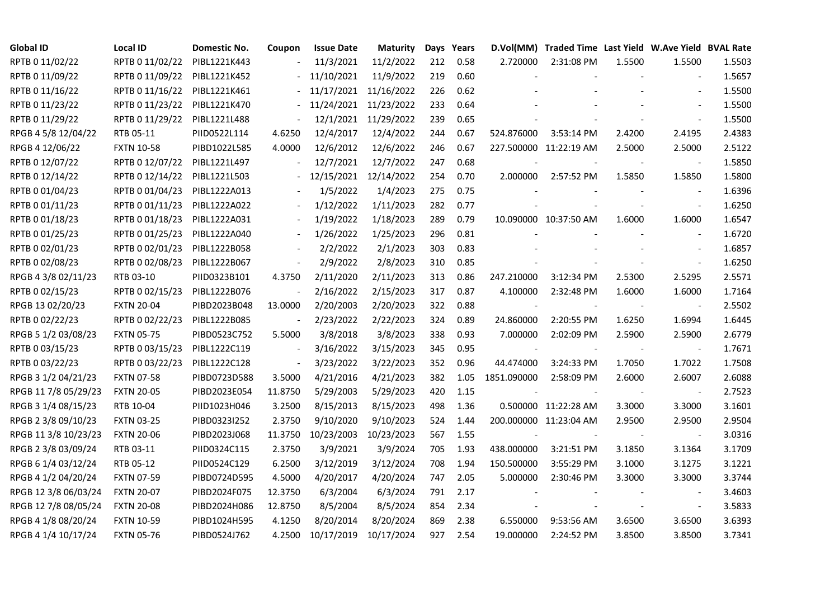| <b>Global ID</b>     | Local ID          | Domestic No. | Coupon                   | <b>Issue Date</b> | Maturity              |     | Days Years |                          | D.Vol(MM) Traded Time Last Yield W.Ave Yield BVAL Rate |        |                          |        |
|----------------------|-------------------|--------------|--------------------------|-------------------|-----------------------|-----|------------|--------------------------|--------------------------------------------------------|--------|--------------------------|--------|
| RPTB 0 11/02/22      | RPTB 0 11/02/22   | PIBL1221K443 |                          | 11/3/2021         | 11/2/2022             | 212 | 0.58       | 2.720000                 | 2:31:08 PM                                             | 1.5500 | 1.5500                   | 1.5503 |
| RPTB 0 11/09/22      | RPTB 0 11/09/22   | PIBL1221K452 |                          | 11/10/2021        | 11/9/2022             | 219 | 0.60       |                          |                                                        |        |                          | 1.5657 |
| RPTB 0 11/16/22      | RPTB 0 11/16/22   | PIBL1221K461 |                          |                   | 11/17/2021 11/16/2022 | 226 | 0.62       |                          |                                                        |        |                          | 1.5500 |
| RPTB 0 11/23/22      | RPTB 0 11/23/22   | PIBL1221K470 | $\blacksquare$           |                   | 11/24/2021 11/23/2022 | 233 | 0.64       |                          |                                                        |        | $\overline{a}$           | 1.5500 |
| RPTB 0 11/29/22      | RPTB 0 11/29/22   | PIBL1221L488 | $\Box$                   |                   | 12/1/2021 11/29/2022  | 239 | 0.65       |                          |                                                        |        |                          | 1.5500 |
| RPGB 4 5/8 12/04/22  | RTB 05-11         | PIID0522L114 | 4.6250                   | 12/4/2017         | 12/4/2022             | 244 | 0.67       | 524.876000               | 3:53:14 PM                                             | 2.4200 | 2.4195                   | 2.4383 |
| RPGB 4 12/06/22      | <b>FXTN 10-58</b> | PIBD1022L585 | 4.0000                   | 12/6/2012         | 12/6/2022             | 246 | 0.67       |                          | 227.500000 11:22:19 AM                                 | 2.5000 | 2.5000                   | 2.5122 |
| RPTB 0 12/07/22      | RPTB 0 12/07/22   | PIBL1221L497 |                          | 12/7/2021         | 12/7/2022             | 247 | 0.68       | $\overline{\phantom{a}}$ |                                                        |        | $\overline{\phantom{a}}$ | 1.5850 |
| RPTB 0 12/14/22      | RPTB 0 12/14/22   | PIBL1221L503 |                          | 12/15/2021        | 12/14/2022            | 254 | 0.70       | 2.000000                 | 2:57:52 PM                                             | 1.5850 | 1.5850                   | 1.5800 |
| RPTB 0 01/04/23      | RPTB 0 01/04/23   | PIBL1222A013 |                          | 1/5/2022          | 1/4/2023              | 275 | 0.75       |                          |                                                        |        |                          | 1.6396 |
| RPTB 0 01/11/23      | RPTB 0 01/11/23   | PIBL1222A022 | $\overline{\phantom{a}}$ | 1/12/2022         | 1/11/2023             | 282 | 0.77       |                          |                                                        |        | $\blacksquare$           | 1.6250 |
| RPTB 0 01/18/23      | RPTB 0 01/18/23   | PIBL1222A031 |                          | 1/19/2022         | 1/18/2023             | 289 | 0.79       |                          | 10.090000 10:37:50 AM                                  | 1.6000 | 1.6000                   | 1.6547 |
| RPTB 0 01/25/23      | RPTB 0 01/25/23   | PIBL1222A040 |                          | 1/26/2022         | 1/25/2023             | 296 | 0.81       |                          |                                                        |        | $\overline{\phantom{a}}$ | 1.6720 |
| RPTB 0 02/01/23      | RPTB 0 02/01/23   | PIBL1222B058 |                          | 2/2/2022          | 2/1/2023              | 303 | 0.83       |                          |                                                        |        | $\blacksquare$           | 1.6857 |
| RPTB 0 02/08/23      | RPTB 0 02/08/23   | PIBL1222B067 | $\blacksquare$           | 2/9/2022          | 2/8/2023              | 310 | 0.85       |                          |                                                        |        | $\bar{\phantom{a}}$      | 1.6250 |
| RPGB 4 3/8 02/11/23  | RTB 03-10         | PIID0323B101 | 4.3750                   | 2/11/2020         | 2/11/2023             | 313 | 0.86       | 247.210000               | 3:12:34 PM                                             | 2.5300 | 2.5295                   | 2.5571 |
| RPTB 0 02/15/23      | RPTB 0 02/15/23   | PIBL1222B076 |                          | 2/16/2022         | 2/15/2023             | 317 | 0.87       | 4.100000                 | 2:32:48 PM                                             | 1.6000 | 1.6000                   | 1.7164 |
| RPGB 13 02/20/23     | <b>FXTN 20-04</b> | PIBD2023B048 | 13.0000                  | 2/20/2003         | 2/20/2023             | 322 | 0.88       |                          |                                                        |        |                          | 2.5502 |
| RPTB 0 02/22/23      | RPTB 0 02/22/23   | PIBL1222B085 | $\blacksquare$           | 2/23/2022         | 2/22/2023             | 324 | 0.89       | 24.860000                | 2:20:55 PM                                             | 1.6250 | 1.6994                   | 1.6445 |
| RPGB 5 1/2 03/08/23  | <b>FXTN 05-75</b> | PIBD0523C752 | 5.5000                   | 3/8/2018          | 3/8/2023              | 338 | 0.93       | 7.000000                 | 2:02:09 PM                                             | 2.5900 | 2.5900                   | 2.6779 |
| RPTB 0 03/15/23      | RPTB 0 03/15/23   | PIBL1222C119 | $\blacksquare$           | 3/16/2022         | 3/15/2023             | 345 | 0.95       | $\blacksquare$           |                                                        |        | $\blacksquare$           | 1.7671 |
| RPTB 0 03/22/23      | RPTB 0 03/22/23   | PIBL1222C128 | $\blacksquare$           | 3/23/2022         | 3/22/2023             | 352 | 0.96       | 44.474000                | 3:24:33 PM                                             | 1.7050 | 1.7022                   | 1.7508 |
| RPGB 3 1/2 04/21/23  | <b>FXTN 07-58</b> | PIBD0723D588 | 3.5000                   | 4/21/2016         | 4/21/2023             | 382 | 1.05       | 1851.090000              | 2:58:09 PM                                             | 2.6000 | 2.6007                   | 2.6088 |
| RPGB 11 7/8 05/29/23 | <b>FXTN 20-05</b> | PIBD2023E054 | 11.8750                  | 5/29/2003         | 5/29/2023             | 420 | 1.15       |                          |                                                        |        |                          | 2.7523 |
| RPGB 3 1/4 08/15/23  | RTB 10-04         | PIID1023H046 | 3.2500                   | 8/15/2013         | 8/15/2023             | 498 | 1.36       |                          | 0.500000 11:22:28 AM                                   | 3.3000 | 3.3000                   | 3.1601 |
| RPGB 2 3/8 09/10/23  | <b>FXTN 03-25</b> | PIBD0323I252 | 2.3750                   | 9/10/2020         | 9/10/2023             | 524 | 1.44       |                          | 200.000000 11:23:04 AM                                 | 2.9500 | 2.9500                   | 2.9504 |
| RPGB 11 3/8 10/23/23 | <b>FXTN 20-06</b> | PIBD2023J068 | 11.3750                  | 10/23/2003        | 10/23/2023            | 567 | 1.55       |                          |                                                        |        | $\overline{\phantom{a}}$ | 3.0316 |
| RPGB 2 3/8 03/09/24  | RTB 03-11         | PIID0324C115 | 2.3750                   | 3/9/2021          | 3/9/2024              | 705 | 1.93       | 438.000000               | 3:21:51 PM                                             | 3.1850 | 3.1364                   | 3.1709 |
| RPGB 6 1/4 03/12/24  | RTB 05-12         | PIID0524C129 | 6.2500                   | 3/12/2019         | 3/12/2024             | 708 | 1.94       | 150.500000               | 3:55:29 PM                                             | 3.1000 | 3.1275                   | 3.1221 |
| RPGB 4 1/2 04/20/24  | <b>FXTN 07-59</b> | PIBD0724D595 | 4.5000                   | 4/20/2017         | 4/20/2024             | 747 | 2.05       | 5.000000                 | 2:30:46 PM                                             | 3.3000 | 3.3000                   | 3.3744 |
| RPGB 12 3/8 06/03/24 | <b>FXTN 20-07</b> | PIBD2024F075 | 12.3750                  | 6/3/2004          | 6/3/2024              | 791 | 2.17       |                          |                                                        |        |                          | 3.4603 |
| RPGB 12 7/8 08/05/24 | <b>FXTN 20-08</b> | PIBD2024H086 | 12.8750                  | 8/5/2004          | 8/5/2024              | 854 | 2.34       |                          |                                                        |        | $\overline{\phantom{a}}$ | 3.5833 |
| RPGB 4 1/8 08/20/24  | <b>FXTN 10-59</b> | PIBD1024H595 | 4.1250                   | 8/20/2014         | 8/20/2024             | 869 | 2.38       | 6.550000                 | 9:53:56 AM                                             | 3.6500 | 3.6500                   | 3.6393 |
| RPGB 4 1/4 10/17/24  | <b>FXTN 05-76</b> | PIBD0524J762 | 4.2500                   | 10/17/2019        | 10/17/2024            | 927 | 2.54       | 19.000000                | 2:24:52 PM                                             | 3.8500 | 3.8500                   | 3.7341 |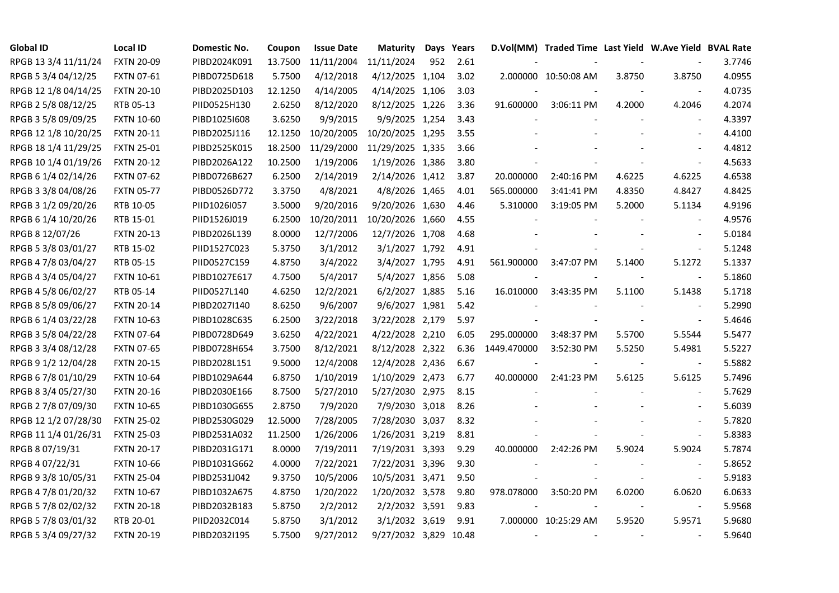| <b>Global ID</b>     | <b>Local ID</b>   | Domestic No. | Coupon  | <b>Issue Date</b> | <b>Maturity</b>  | Days | Years |             | D.Vol(MM) Traded Time Last Yield W.Ave Yield BVAL Rate |        |                          |        |
|----------------------|-------------------|--------------|---------|-------------------|------------------|------|-------|-------------|--------------------------------------------------------|--------|--------------------------|--------|
| RPGB 13 3/4 11/11/24 | <b>FXTN 20-09</b> | PIBD2024K091 | 13.7500 | 11/11/2004        | 11/11/2024       | 952  | 2.61  |             |                                                        |        |                          | 3.7746 |
| RPGB 5 3/4 04/12/25  | <b>FXTN 07-61</b> | PIBD0725D618 | 5.7500  | 4/12/2018         | 4/12/2025 1,104  |      | 3.02  |             | 2.000000 10:50:08 AM                                   | 3.8750 | 3.8750                   | 4.0955 |
| RPGB 12 1/8 04/14/25 | <b>FXTN 20-10</b> | PIBD2025D103 | 12.1250 | 4/14/2005         | 4/14/2025 1,106  |      | 3.03  |             |                                                        |        | $\blacksquare$           | 4.0735 |
| RPGB 2 5/8 08/12/25  | RTB 05-13         | PIID0525H130 | 2.6250  | 8/12/2020         | 8/12/2025 1,226  |      | 3.36  | 91.600000   | 3:06:11 PM                                             | 4.2000 | 4.2046                   | 4.2074 |
| RPGB 3 5/8 09/09/25  | <b>FXTN 10-60</b> | PIBD10251608 | 3.6250  | 9/9/2015          | 9/9/2025 1,254   |      | 3.43  |             |                                                        |        | $\sim$                   | 4.3397 |
| RPGB 12 1/8 10/20/25 | <b>FXTN 20-11</b> | PIBD2025J116 | 12.1250 | 10/20/2005        | 10/20/2025 1,295 |      | 3.55  |             |                                                        |        | $\blacksquare$           | 4.4100 |
| RPGB 18 1/4 11/29/25 | <b>FXTN 25-01</b> | PIBD2525K015 | 18.2500 | 11/29/2000        | 11/29/2025 1,335 |      | 3.66  |             |                                                        |        |                          | 4.4812 |
| RPGB 10 1/4 01/19/26 | <b>FXTN 20-12</b> | PIBD2026A122 | 10.2500 | 1/19/2006         | 1/19/2026 1,386  |      | 3.80  |             |                                                        |        | $\sim$                   | 4.5633 |
| RPGB 6 1/4 02/14/26  | <b>FXTN 07-62</b> | PIBD0726B627 | 6.2500  | 2/14/2019         | 2/14/2026 1,412  |      | 3.87  | 20.000000   | 2:40:16 PM                                             | 4.6225 | 4.6225                   | 4.6538 |
| RPGB 3 3/8 04/08/26  | <b>FXTN 05-77</b> | PIBD0526D772 | 3.3750  | 4/8/2021          | 4/8/2026 1,465   |      | 4.01  | 565.000000  | 3:41:41 PM                                             | 4.8350 | 4.8427                   | 4.8425 |
| RPGB 3 1/2 09/20/26  | RTB 10-05         | PIID1026I057 | 3.5000  | 9/20/2016         | 9/20/2026 1,630  |      | 4.46  | 5.310000    | 3:19:05 PM                                             | 5.2000 | 5.1134                   | 4.9196 |
| RPGB 6 1/4 10/20/26  | RTB 15-01         | PIID1526J019 | 6.2500  | 10/20/2011        | 10/20/2026 1,660 |      | 4.55  |             |                                                        |        | $\blacksquare$           | 4.9576 |
| RPGB 8 12/07/26      | <b>FXTN 20-13</b> | PIBD2026L139 | 8.0000  | 12/7/2006         | 12/7/2026 1,708  |      | 4.68  |             |                                                        |        | $\sim$                   | 5.0184 |
| RPGB 5 3/8 03/01/27  | RTB 15-02         | PIID1527C023 | 5.3750  | 3/1/2012          | 3/1/2027 1,792   |      | 4.91  |             |                                                        |        | $\blacksquare$           | 5.1248 |
| RPGB 4 7/8 03/04/27  | RTB 05-15         | PIID0527C159 | 4.8750  | 3/4/2022          | 3/4/2027 1,795   |      | 4.91  | 561.900000  | 3:47:07 PM                                             | 5.1400 | 5.1272                   | 5.1337 |
| RPGB 4 3/4 05/04/27  | <b>FXTN 10-61</b> | PIBD1027E617 | 4.7500  | 5/4/2017          | 5/4/2027 1,856   |      | 5.08  |             |                                                        |        |                          | 5.1860 |
| RPGB 4 5/8 06/02/27  | RTB 05-14         | PIID0527L140 | 4.6250  | 12/2/2021         | 6/2/2027 1,885   |      | 5.16  | 16.010000   | 3:43:35 PM                                             | 5.1100 | 5.1438                   | 5.1718 |
| RPGB 8 5/8 09/06/27  | <b>FXTN 20-14</b> | PIBD2027I140 | 8.6250  | 9/6/2007          | 9/6/2027 1,981   |      | 5.42  |             |                                                        |        |                          | 5.2990 |
| RPGB 6 1/4 03/22/28  | <b>FXTN 10-63</b> | PIBD1028C635 | 6.2500  | 3/22/2018         | 3/22/2028 2,179  |      | 5.97  |             |                                                        |        | $\sim$                   | 5.4646 |
| RPGB 3 5/8 04/22/28  | <b>FXTN 07-64</b> | PIBD0728D649 | 3.6250  | 4/22/2021         | 4/22/2028 2,210  |      | 6.05  | 295.000000  | 3:48:37 PM                                             | 5.5700 | 5.5544                   | 5.5477 |
| RPGB 3 3/4 08/12/28  | <b>FXTN 07-65</b> | PIBD0728H654 | 3.7500  | 8/12/2021         | 8/12/2028 2,322  |      | 6.36  | 1449.470000 | 3:52:30 PM                                             | 5.5250 | 5.4981                   | 5.5227 |
| RPGB 9 1/2 12/04/28  | <b>FXTN 20-15</b> | PIBD2028L151 | 9.5000  | 12/4/2008         | 12/4/2028 2,436  |      | 6.67  |             |                                                        |        | $\sim$                   | 5.5882 |
| RPGB 67/8 01/10/29   | <b>FXTN 10-64</b> | PIBD1029A644 | 6.8750  | 1/10/2019         | 1/10/2029 2,473  |      | 6.77  | 40.000000   | 2:41:23 PM                                             | 5.6125 | 5.6125                   | 5.7496 |
| RPGB 8 3/4 05/27/30  | <b>FXTN 20-16</b> | PIBD2030E166 | 8.7500  | 5/27/2010         | 5/27/2030 2,975  |      | 8.15  |             |                                                        |        |                          | 5.7629 |
| RPGB 2 7/8 07/09/30  | <b>FXTN 10-65</b> | PIBD1030G655 | 2.8750  | 7/9/2020          | 7/9/2030 3,018   |      | 8.26  |             |                                                        |        |                          | 5.6039 |
| RPGB 12 1/2 07/28/30 | <b>FXTN 25-02</b> | PIBD2530G029 | 12.5000 | 7/28/2005         | 7/28/2030 3,037  |      | 8.32  |             |                                                        |        |                          | 5.7820 |
| RPGB 11 1/4 01/26/31 | <b>FXTN 25-03</b> | PIBD2531A032 | 11.2500 | 1/26/2006         | 1/26/2031 3,219  |      | 8.81  |             |                                                        |        | $\blacksquare$           | 5.8383 |
| RPGB 8 07/19/31      | <b>FXTN 20-17</b> | PIBD2031G171 | 8.0000  | 7/19/2011         | 7/19/2031 3,393  |      | 9.29  | 40.000000   | 2:42:26 PM                                             | 5.9024 | 5.9024                   | 5.7874 |
| RPGB 4 07/22/31      | <b>FXTN 10-66</b> | PIBD1031G662 | 4.0000  | 7/22/2021         | 7/22/2031 3,396  |      | 9.30  |             |                                                        |        |                          | 5.8652 |
| RPGB 9 3/8 10/05/31  | <b>FXTN 25-04</b> | PIBD2531J042 | 9.3750  | 10/5/2006         | 10/5/2031 3,471  |      | 9.50  |             |                                                        |        |                          | 5.9183 |
| RPGB 4 7/8 01/20/32  | <b>FXTN 10-67</b> | PIBD1032A675 | 4.8750  | 1/20/2022         | 1/20/2032 3,578  |      | 9.80  | 978.078000  | 3:50:20 PM                                             | 6.0200 | 6.0620                   | 6.0633 |
| RPGB 5 7/8 02/02/32  | <b>FXTN 20-18</b> | PIBD2032B183 | 5.8750  | 2/2/2012          | 2/2/2032 3,591   |      | 9.83  |             |                                                        |        | $\overline{\phantom{a}}$ | 5.9568 |
| RPGB 5 7/8 03/01/32  | RTB 20-01         | PIID2032C014 | 5.8750  | 3/1/2012          | 3/1/2032 3,619   |      | 9.91  |             | 7.000000 10:25:29 AM                                   | 5.9520 | 5.9571                   | 5.9680 |
| RPGB 5 3/4 09/27/32  | <b>FXTN 20-19</b> | PIBD2032I195 | 5.7500  | 9/27/2012         | 9/27/2032 3,829  |      | 10.48 |             |                                                        |        | $\blacksquare$           | 5.9640 |